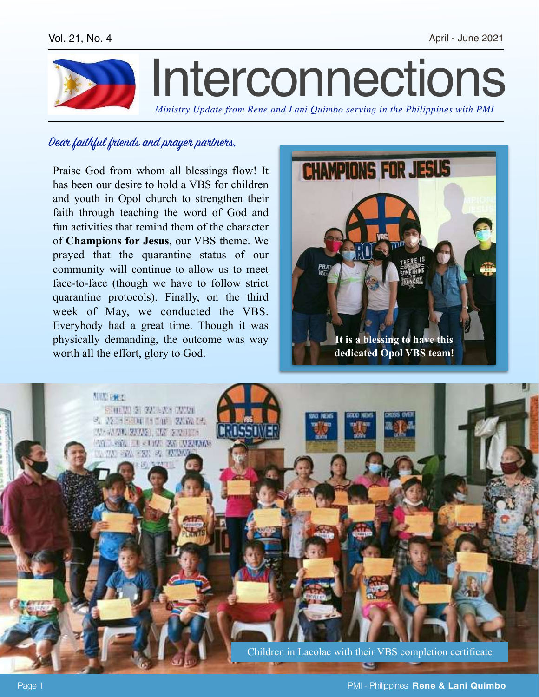

## Dear faithful friends and prayer partners,

Praise God from whom all blessings flow! It has been our desire to hold a VBS for children and youth in Opol church to strengthen their faith through teaching the word of God and fun activities that remind them of the character of **Champions for Jesus**, our VBS theme. We prayed that the quarantine status of our community will continue to allow us to meet face-to-face (though we have to follow strict quarantine protocols). Finally, on the third week of May, we conducted the VBS. Everybody had a great time. Though it was physically demanding, the outcome was way worth all the effort, glory to God.



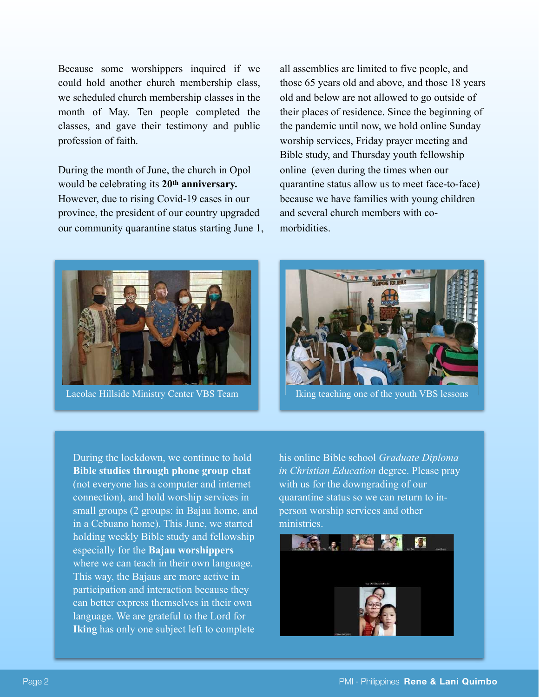Because some worshippers inquired if we could hold another church membership class, we scheduled church membership classes in the month of May. Ten people completed the classes, and gave their testimony and public profession of faith.

During the month of June, the church in Opol would be celebrating its **20th anniversary.**  However, due to rising Covid-19 cases in our province, the president of our country upgraded our community quarantine status starting June 1, all assemblies are limited to five people, and those 65 years old and above, and those 18 years old and below are not allowed to go outside of their places of residence. Since the beginning of the pandemic until now, we hold online Sunday worship services, Friday prayer meeting and Bible study, and Thursday youth fellowship online (even during the times when our quarantine status allow us to meet face-to-face) because we have families with young children and several church members with comorbidities.





Lacolac Hillside Ministry Center VBS Team Islam Iking teaching one of the youth VBS lessons

During the lockdown, we continue to hold **Bible studies through phone group chat** (not everyone has a computer and internet connection), and hold worship services in small groups (2 groups: in Bajau home, and in a Cebuano home). This June, we started holding weekly Bible study and fellowship especially for the **Bajau worshippers** where we can teach in their own language. This way, the Bajaus are more active in participation and interaction because they can better express themselves in their own language. We are grateful to the Lord for **Iking** has only one subject left to complete

his online Bible school *Graduate Diploma in Christian Education* degree. Please pray with us for the downgrading of our quarantine status so we can return to inperson worship services and other ministries.

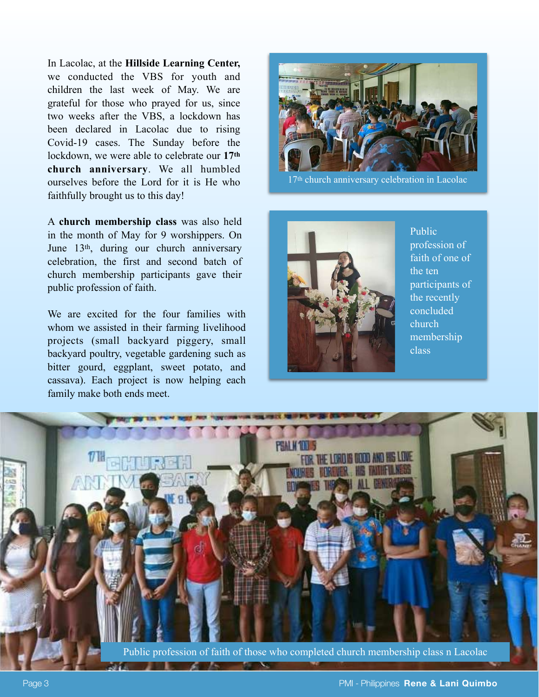In Lacolac, at the **Hillside Learning Center,** we conducted the VBS for youth and children the last week of May. We are grateful for those who prayed for us, since two weeks after the VBS, a lockdown has been declared in Lacolac due to rising Covid-19 cases. The Sunday before the lockdown, we were able to celebrate our **17th church anniversary**. We all humbled ourselves before the Lord for it is He who faithfully brought us to this day!

A **church membership class** was also held in the month of May for 9 worshippers. On June 13th, during our church anniversary celebration, the first and second batch of church membership participants gave their public profession of faith.

We are excited for the four families with whom we assisted in their farming livelihood projects (small backyard piggery, small backyard poultry, vegetable gardening such as bitter gourd, eggplant, sweet potato, and cassava). Each project is now helping each family make both ends meet.



17th church anniversary celebration in Lacolac



Public profession of faith of one of the ten participants of the recently concluded church membership class